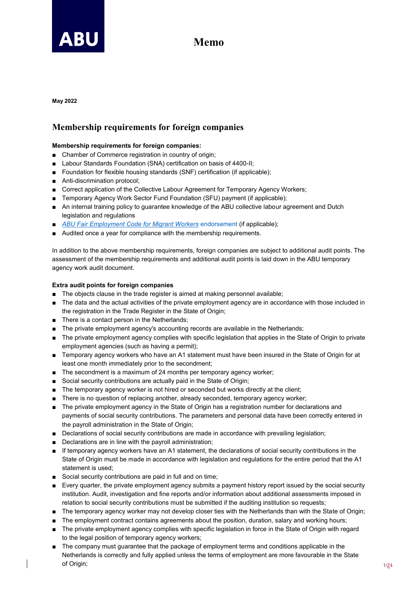

## **Memo**

**May 2022**

## **Membership requirements for foreign companies**

## **Membership requirements for foreign companies:**

- Chamber of Commerce registration in country of origin;
- Labour Standards Foundation (SNA) certification on basis of 4400-II;
- Foundation for flexible housing standards (SNF) certification (if applicable);
- Anti-discrimination protocol;
- Correct application of the Collective Labour Agreement for Temporary Agency Workers;
- Temporary Agency Work Sector Fund Foundation (SFU) payment (if applicable);
- An internal training policy to guarantee knowledge of the ABU collective labour agreement and Dutch legislation and regulations
- *[ABU Fair Employment Code for Migrant Workers](https://www.abu.nl/welcome/)* endorsement (if applicable);
- Audited once a year for compliance with the membership requirements.

In addition to the above membership requirements, foreign companies are subject to additional audit points. The assessment of the membership requirements and additional audit points is laid down in the ABU temporary agency work audit document.

## **Extra audit points for foreign companies**

- The objects clause in the trade register is aimed at making personnel available;
- The data and the actual activities of the private employment agency are in accordance with those included in the registration in the Trade Register in the State of Origin;
- There is a contact person in the Netherlands:
- The private employment agency's accounting records are available in the Netherlands;
- The private employment agency complies with specific legislation that applies in the State of Origin to private employment agencies (such as having a permit);
- Temporary agency workers who have an A1 statement must have been insured in the State of Origin for at least one month immediately prior to the secondment;
- The secondment is a maximum of 24 months per temporary agency worker;
- Social security contributions are actually paid in the State of Origin;
- The temporary agency worker is not hired or seconded but works directly at the client;
- There is no question of replacing another, already seconded, temporary agency worker;
- The private employment agency in the State of Origin has a registration number for declarations and payments of social security contributions. The parameters and personal data have been correctly entered in the payroll administration in the State of Origin;
- Declarations of social security contributions are made in accordance with prevailing legislation;
- Declarations are in line with the payroll administration;
- If temporary agency workers have an A1 statement, the declarations of social security contributions in the State of Origin must be made in accordance with legislation and regulations for the entire period that the A1 statement is used;
- Social security contributions are paid in full and on time;
- Every quarter, the private employment agency submits a payment history report issued by the social security institution. Audit, investigation and fine reports and/or information about additional assessments imposed in relation to social security contributions must be submitted if the auditing institution so requests;
- The temporary agency worker may not develop closer ties with the Netherlands than with the State of Origin;
- The employment contract contains agreements about the position, duration, salary and working hours;
- The private employment agency complies with specific legislation in force in the State of Origin with regard to the legal position of temporary agency workers;
- The company must guarantee that the package of employment terms and conditions applicable in the Netherlands is correctly and fully applied unless the terms of employment are more favourable in the State of Origin: